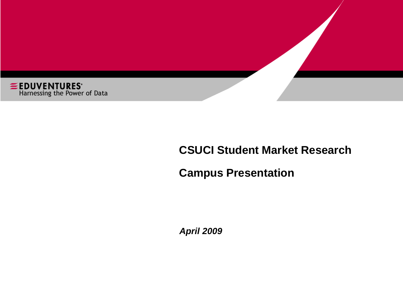

#### **CSUCI Student Market Research**

#### **Campus Presentation**

*April 2009*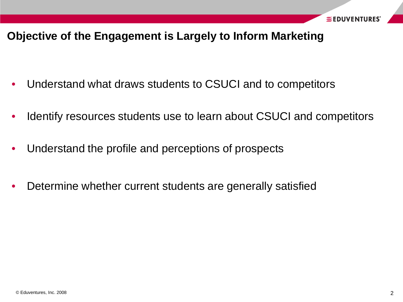#### **Objective of the Engagement is Largely to Inform Marketing**

- Understand what draws students to CSUCI and to competitors
- Identify resources students use to learn about CSUCI and competitors
- Understand the profile and perceptions of prospects
- Determine whether current students are generally satisfied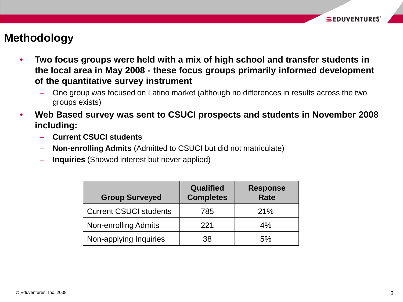#### **Methodology**

- **Two focus groups were held with a mix of high school and transfer students in the local area in May 2008 - these focus groups primarily informed development of the quantitative survey instrument**
	- One group was focused on Latino market (although no differences in results across the two groups exists)
- **Web Based survey was sent to CSUCI prospects and students in November 2008 including:**
	- **Current CSUCI students**
	- **Non-enrolling Admits** (Admitted to CSUCI but did not matriculate)
	- **Inquiries** (Showed interest but never applied)

| <b>Group Surveyed</b>         | <b>Qualified</b><br><b>Completes</b> | <b>Response</b><br><b>Rate</b> |
|-------------------------------|--------------------------------------|--------------------------------|
| <b>Current CSUCI students</b> | 785                                  | 21%                            |
| <b>Non-enrolling Admits</b>   | 221                                  | 4%                             |
| Non-applying Inquiries        | 38                                   | 5%                             |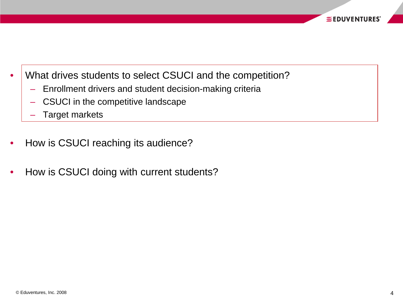- What drives students to select CSUCI and the competition?
	- Enrollment drivers and student decision-making criteria
	- CSUCI in the competitive landscape
	- Target markets
- How is CSUCI reaching its audience?
- How is CSUCI doing with current students?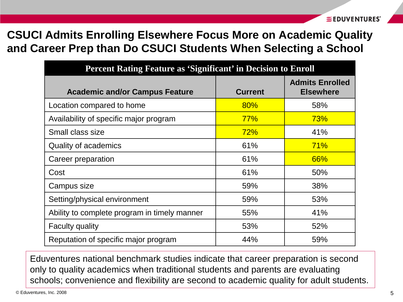# **CSUCI Admits Enrolling Elsewhere Focus More on Academic Quality and Career Prep than Do CSUCI Students When Selecting a School**

| <b>Percent Rating Feature as 'Significant' in Decision to Enroll</b> |                |                                            |  |  |  |
|----------------------------------------------------------------------|----------------|--------------------------------------------|--|--|--|
| <b>Academic and/or Campus Feature</b>                                | <b>Current</b> | <b>Admits Enrolled</b><br><b>Elsewhere</b> |  |  |  |
| Location compared to home                                            | 80%            | 58%                                        |  |  |  |
| Availability of specific major program                               | 77%            | 73%                                        |  |  |  |
| Small class size                                                     | 72%            | 41%                                        |  |  |  |
| Quality of academics                                                 | 61%            | 71%                                        |  |  |  |
| Career preparation                                                   | 61%            | 66%                                        |  |  |  |
| Cost                                                                 | 61%            | 50%                                        |  |  |  |
| Campus size                                                          | 59%            | 38%                                        |  |  |  |
| Setting/physical environment                                         | 59%            | 53%                                        |  |  |  |
| Ability to complete program in timely manner                         | 55%            | 41%                                        |  |  |  |
| <b>Faculty quality</b>                                               | 53%            | 52%                                        |  |  |  |
| Reputation of specific major program                                 | 44%            | 59%                                        |  |  |  |

Eduventures national benchmark studies indicate that career preparation is second only to quality academics when traditional students and parents are evaluating schools; convenience and flexibility are second to academic quality for adult students.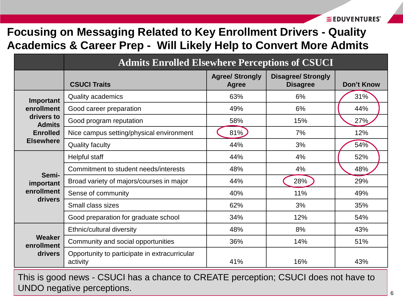EEDUVENTURES'

### **Focusing on Messaging Related to Key Enrollment Drivers - Quality Academics & Career Prep - Will Likely Help to Convert More Admits**

|                             | <b>Admits Enrolled Elsewhere Perceptions of CSUCI</b>     |                                        |                                              |                   |  |  |
|-----------------------------|-----------------------------------------------------------|----------------------------------------|----------------------------------------------|-------------------|--|--|
|                             | <b>CSUCI Traits</b>                                       | <b>Agree/ Strongly</b><br><b>Agree</b> | <b>Disagree/ Strongly</b><br><b>Disagree</b> | <b>Don't Know</b> |  |  |
| Important                   | <b>Quality academics</b>                                  | 63%                                    | 6%                                           | 31%               |  |  |
| enrollment                  | Good career preparation                                   | 49%                                    | 6%                                           | 44%               |  |  |
| drivers to<br><b>Admits</b> | Good program reputation                                   | 58%                                    | 15%                                          | 27%               |  |  |
| <b>Enrolled</b>             | Nice campus setting/physical environment                  | 81%                                    | 7%                                           | 12%               |  |  |
| <b>Elsewhere</b>            | <b>Quality faculty</b>                                    | 44%                                    | 3%                                           | 54%               |  |  |
|                             | Helpful staff                                             | 44%                                    | 4%                                           | 52%               |  |  |
| Semi-                       | Commitment to student needs/interests                     | 48%                                    | 4%                                           | 48%               |  |  |
| important                   | Broad variety of majors/courses in major                  | 44%                                    | 28%                                          | 29%               |  |  |
| enrollment<br>drivers       | Sense of community                                        | 40%                                    | 11%                                          | 49%               |  |  |
|                             | Small class sizes                                         | 62%                                    | 3%                                           | 35%               |  |  |
|                             | Good preparation for graduate school                      | 34%                                    | 12%                                          | 54%               |  |  |
|                             | Ethnic/cultural diversity                                 | 48%                                    | 8%                                           | 43%               |  |  |
| <b>Weaker</b><br>enrollment | Community and social opportunities                        | 36%                                    | 14%                                          | 51%               |  |  |
| drivers                     | Opportunity to participate in extracurricular<br>activity | 41%                                    | 16%                                          | 43%               |  |  |

© Eduventures, Inc. 2008 6 This is good news - CSUCI has a chance to CREATE perception; CSUCI does not have to UNDO negative perceptions.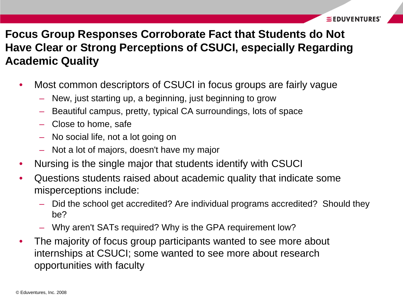# **Focus Group Responses Corroborate Fact that Students do Not Have Clear or Strong Perceptions of CSUCI, especially Regarding Academic Quality**

- Most common descriptors of CSUCI in focus groups are fairly vague
	- New, just starting up, a beginning, just beginning to grow
	- Beautiful campus, pretty, typical CA surroundings, lots of space
	- Close to home, safe
	- No social life, not a lot going on
	- Not a lot of majors, doesn't have my major
- Nursing is the single major that students identify with CSUCI
- Questions students raised about academic quality that indicate some misperceptions include:
	- Did the school get accredited? Are individual programs accredited? Should they be?
	- Why aren't SATs required? Why is the GPA requirement low?
- The majority of focus group participants wanted to see more about internships at CSUCI; some wanted to see more about research opportunities with faculty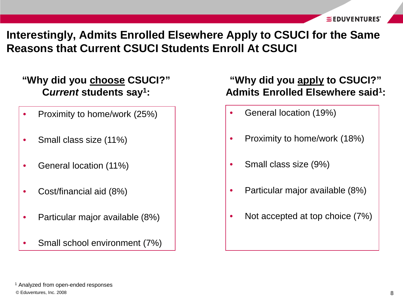**Interestingly, Admits Enrolled Elsewhere Apply to CSUCI for the Same Reasons that Current CSUCI Students Enroll At CSUCI**

#### **"Why did you choose CSUCI?" C***urrent* **students say1:**

- Proximity to home/work (25%)
- Small class size (11%)
- General location (11%)
- Cost/financial aid (8%)
- Particular major available (8%)
- Small school environment (7%)

#### **"Why did you apply to CSUCI?" Admits Enrolled Elsewhere said1:**

- General location (19%)
- Proximity to home/work (18%)
- Small class size (9%)
- Particular major available (8%)
- Not accepted at top choice (7%)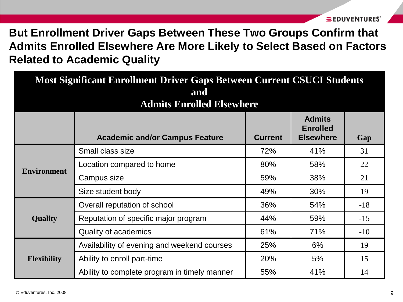# **But Enrollment Driver Gaps Between These Two Groups Confirm that Admits Enrolled Elsewhere Are More Likely to Select Based on Factors Related to Academic Quality**

| <b>Most Significant Enrollment Driver Gaps Between Current CSUCI Students</b><br>and<br><b>Admits Enrolled Elsewhere</b> |                                              |                |                                                      |       |  |
|--------------------------------------------------------------------------------------------------------------------------|----------------------------------------------|----------------|------------------------------------------------------|-------|--|
|                                                                                                                          | <b>Academic and/or Campus Feature</b>        | <b>Current</b> | <b>Admits</b><br><b>Enrolled</b><br><b>Elsewhere</b> | Gap   |  |
|                                                                                                                          | Small class size                             | 72%            | 41%                                                  | 31    |  |
|                                                                                                                          | Location compared to home                    | 80%            | 58%                                                  | 22    |  |
| <b>Environment</b>                                                                                                       | Campus size                                  | 59%            | 38%                                                  | 21    |  |
|                                                                                                                          | Size student body                            | 49%            | 30%                                                  | 19    |  |
|                                                                                                                          | Overall reputation of school                 | 36%            | 54%                                                  | $-18$ |  |
| <b>Quality</b>                                                                                                           | Reputation of specific major program         |                | 59%                                                  | $-15$ |  |
|                                                                                                                          | <b>Quality of academics</b>                  | 61%            | 71%                                                  | $-10$ |  |
|                                                                                                                          | Availability of evening and weekend courses  | 25%            | 6%                                                   | 19    |  |
| <b>Flexibility</b>                                                                                                       | Ability to enroll part-time                  | 20%            | 5%                                                   | 15    |  |
|                                                                                                                          | Ability to complete program in timely manner | 55%            | 41%                                                  | 14    |  |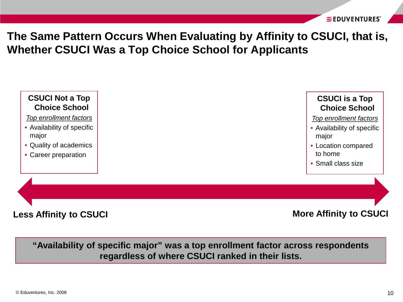**The Same Pattern Occurs When Evaluating by Affinity to CSUCI, that is, Whether CSUCI Was a Top Choice School for Applicants**



**"Availability of specific major" was a top enrollment factor across respondents regardless of where CSUCI ranked in their lists.**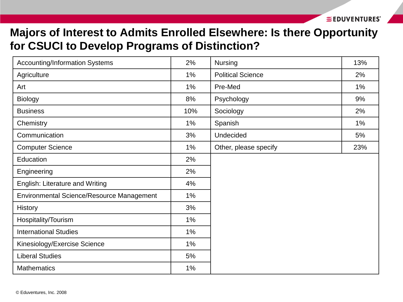## **Majors of Interest to Admits Enrolled Elsewhere: Is there Opportunity for CSUCI to Develop Programs of Distinction?**

| <b>Accounting/Information Systems</b>     | 2%  | <b>Nursing</b>           | 13%   |
|-------------------------------------------|-----|--------------------------|-------|
| Agriculture                               | 1%  | <b>Political Science</b> | 2%    |
| Art                                       | 1%  | Pre-Med                  | $1\%$ |
| <b>Biology</b>                            | 8%  | Psychology               | 9%    |
| <b>Business</b>                           | 10% | Sociology                | 2%    |
| Chemistry                                 | 1%  | Spanish                  | $1\%$ |
| Communication                             | 3%  | Undecided                | 5%    |
| <b>Computer Science</b>                   | 1%  | Other, please specify    | 23%   |
| Education                                 | 2%  |                          |       |
| Engineering                               | 2%  |                          |       |
| English: Literature and Writing           | 4%  |                          |       |
| Environmental Science/Resource Management | 1%  |                          |       |
| History                                   | 3%  |                          |       |
| Hospitality/Tourism                       | 1%  |                          |       |
| <b>International Studies</b>              | 1%  |                          |       |
| Kinesiology/Exercise Science              | 1%  |                          |       |
| <b>Liberal Studies</b>                    | 5%  |                          |       |
| <b>Mathematics</b>                        | 1%  |                          |       |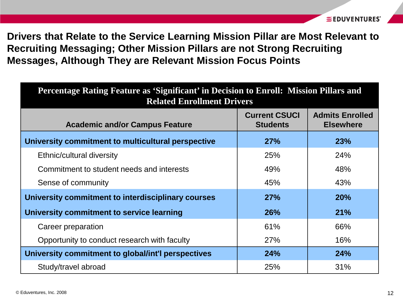**Drivers that Relate to the Service Learning Mission Pillar are Most Relevant to Recruiting Messaging; Other Mission Pillars are not Strong Recruiting Messages, Although They are Relevant Mission Focus Points**

| Percentage Rating Feature as 'Significant' in Decision to Enroll: Mission Pillars and<br><b>Related Enrollment Drivers</b> |                                         |                                            |  |  |
|----------------------------------------------------------------------------------------------------------------------------|-----------------------------------------|--------------------------------------------|--|--|
| <b>Academic and/or Campus Feature</b>                                                                                      | <b>Current CSUCI</b><br><b>Students</b> | <b>Admits Enrolled</b><br><b>Elsewhere</b> |  |  |
| University commitment to multicultural perspective                                                                         | 27%                                     | 23%                                        |  |  |
| Ethnic/cultural diversity                                                                                                  | 25%                                     | 24%                                        |  |  |
| Commitment to student needs and interests                                                                                  | 49%                                     | 48%                                        |  |  |
| Sense of community                                                                                                         | 45%                                     | 43%                                        |  |  |
| University commitment to interdisciplinary courses                                                                         | 27%                                     | 20%                                        |  |  |
| University commitment to service learning                                                                                  | <b>26%</b>                              | 21%                                        |  |  |
| Career preparation                                                                                                         | 61%                                     | 66%                                        |  |  |
| Opportunity to conduct research with faculty                                                                               | <b>27%</b>                              | 16%                                        |  |  |
| University commitment to global/int'l perspectives                                                                         | 24%                                     | 24%                                        |  |  |
| Study/travel abroad                                                                                                        | 25%                                     | 31%                                        |  |  |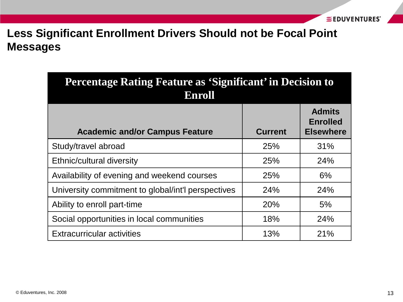# **Less Significant Enrollment Drivers Should not be Focal Point Messages**

| Percentage Rating Feature as 'Significant' in Decision to<br><b>Enroll</b> |                |                                                      |  |  |  |
|----------------------------------------------------------------------------|----------------|------------------------------------------------------|--|--|--|
| <b>Academic and/or Campus Feature</b>                                      | <b>Current</b> | <b>Admits</b><br><b>Enrolled</b><br><b>Elsewhere</b> |  |  |  |
| Study/travel abroad                                                        | 25%            | 31%                                                  |  |  |  |
| Ethnic/cultural diversity                                                  | <b>25%</b>     | 24%                                                  |  |  |  |
| Availability of evening and weekend courses                                | <b>25%</b>     | 6%                                                   |  |  |  |
| University commitment to global/int'l perspectives                         | <b>24%</b>     | <b>24%</b>                                           |  |  |  |
| Ability to enroll part-time                                                | <b>20%</b>     | 5%                                                   |  |  |  |
| Social opportunities in local communities                                  | 18%            | 24%                                                  |  |  |  |
| <b>Extracurricular activities</b>                                          | 13%            | 21%                                                  |  |  |  |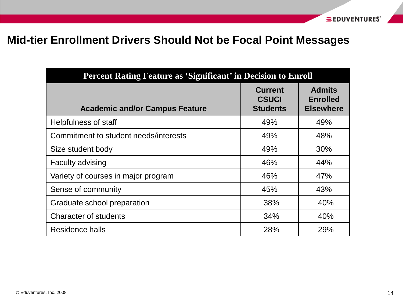### **Mid-tier Enrollment Drivers Should Not be Focal Point Messages**

| <b>Percent Rating Feature as 'Significant' in Decision to Enroll</b> |                                                   |                                                      |  |  |  |
|----------------------------------------------------------------------|---------------------------------------------------|------------------------------------------------------|--|--|--|
| <b>Academic and/or Campus Feature</b>                                | <b>Current</b><br><b>CSUCI</b><br><b>Students</b> | <b>Admits</b><br><b>Enrolled</b><br><b>Elsewhere</b> |  |  |  |
| Helpfulness of staff                                                 | 49%                                               | 49%                                                  |  |  |  |
| Commitment to student needs/interests                                | 49%                                               | 48%                                                  |  |  |  |
| Size student body                                                    | 49%                                               | 30%                                                  |  |  |  |
| <b>Faculty advising</b>                                              | 46%                                               | 44%                                                  |  |  |  |
| Variety of courses in major program                                  | 46%                                               | 47%                                                  |  |  |  |
| Sense of community                                                   | 45%                                               | 43%                                                  |  |  |  |
| Graduate school preparation                                          | 38%                                               | 40%                                                  |  |  |  |
| <b>Character of students</b>                                         | 34%                                               | 40%                                                  |  |  |  |
| Residence halls                                                      | 28%                                               | 29%                                                  |  |  |  |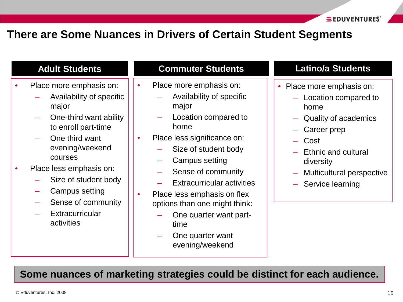#### **There are Some Nuances in Drivers of Certain Student Segments**

#### **Adult Students**

- Place more emphasis on:
	- Availability of specific major
	- One-third want ability to enroll part-time
	- One third want evening/weekend courses
- Place less emphasis on:
	- Size of student body
	- Campus setting
	- Sense of community
	- **Fxtracurricular** activities

#### **Commuter Students**

- Place more emphasis on:
	- Availability of specific major
	- Location compared to home
- Place less significance on:
	- Size of student body
	- Campus setting
	- Sense of community
	- Extracurricular activities
- Place less emphasis on flex options than one might think:
	- One quarter want parttime
	- One quarter want evening/weekend

#### **Latino/a Students**

- Place more emphasis on:
	- Location compared to home
	- Quality of academics
	- Career prep
	- Cost
	- Ethnic and cultural diversity
	- Multicultural perspective
	- Service learning

**Some nuances of marketing strategies could be distinct for each audience.**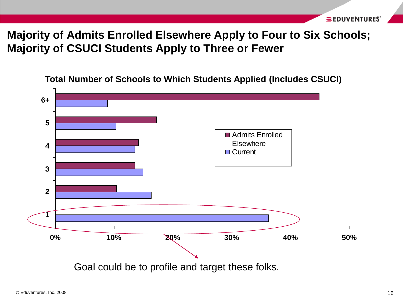### **Majority of Admits Enrolled Elsewhere Apply to Four to Six Schools; Majority of CSUCI Students Apply to Three or Fewer**

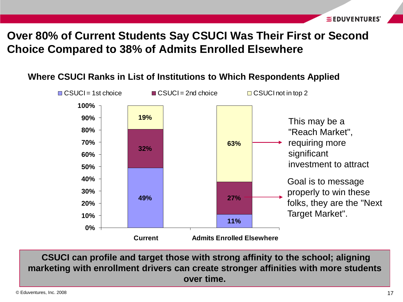# **Over 80% of Current Students Say CSUCI Was Their First or Second Choice Compared to 38% of Admits Enrolled Elsewhere**



**CSUCI can profile and target those with strong affinity to the school; aligning marketing with enrollment drivers can create stronger affinities with more students over time.**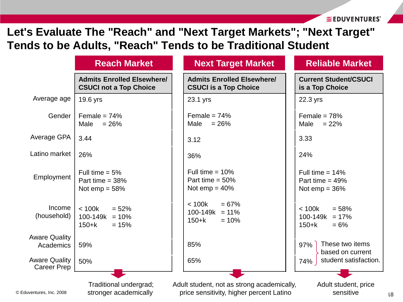EEDUVENTURES'

18

### **Let's Evaluate The "Reach" and "Next Target Markets"; "Next Target" Tends to be Adults, "Reach" Tends to be Traditional Student**

|                                            | <b>Reach Market</b>                                                | <b>Next Target Market</b>                                                              | <b>Reliable Market</b>                                           |
|--------------------------------------------|--------------------------------------------------------------------|----------------------------------------------------------------------------------------|------------------------------------------------------------------|
|                                            | <b>Admits Enrolled Elsewhere/</b><br><b>CSUCI not a Top Choice</b> | <b>Admits Enrolled Elsewhere/</b><br><b>CSUCI is a Top Choice</b>                      | <b>Current Student/CSUCI</b><br>is a Top Choice                  |
| Average age                                | 19.6 yrs                                                           | 23.1 yrs                                                                               | 22.3 yrs                                                         |
| Gender                                     | Female = $74%$<br>Male<br>$= 26%$                                  | Female = $74%$<br>$= 26%$<br>Male                                                      | Female = $78%$<br>Male<br>$= 22%$                                |
| Average GPA                                | 3.44                                                               | 3.12                                                                                   | 3.33                                                             |
| Latino market                              | 26%                                                                | 36%                                                                                    | 24%                                                              |
| Employment                                 | Full time $= 5\%$<br>Part time $=$ 38%<br>Not emp $= 58%$          | Full time = $10\%$<br>Part time = $50\%$<br>Not $emp = 40%$                            | Full time = $14\%$<br>Part time = $49\%$<br>Not $emp = 36%$      |
| Income<br>(household)                      | < 100k<br>$= 52%$<br>$100-149k = 10%$<br>$150 + k$<br>$= 15%$      | < 100k<br>$= 67%$<br>100-149k<br>$= 11\%$<br>$150 + k$<br>$= 10%$                      | < 100k<br>$= 58%$<br>100-149k<br>$= 17%$<br>$150 + k$<br>$= 6\%$ |
| <b>Aware Quality</b><br>Academics          | 59%                                                                | 85%                                                                                    | These two items<br>97%<br>based on current                       |
| <b>Aware Quality</b><br><b>Career Prep</b> | 50%                                                                | 65%                                                                                    | student satisfaction.<br>74%                                     |
| © Eduventures, Inc. 2008                   | Traditional undergrad;<br>stronger academically                    | Adult student, not as strong academically,<br>price sensitivity, higher percent Latino | Adult student, price<br>sensitive                                |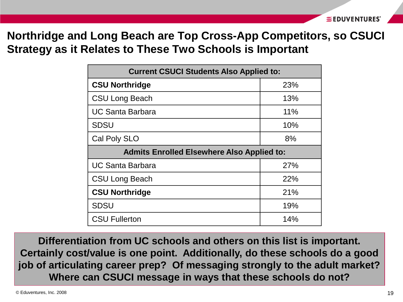**Northridge and Long Beach are Top Cross-App Competitors, so CSUCI Strategy as it Relates to These Two Schools is Important**

| <b>Current CSUCI Students Also Applied to:</b>    |     |  |  |  |
|---------------------------------------------------|-----|--|--|--|
| <b>CSU Northridge</b>                             | 23% |  |  |  |
| <b>CSU Long Beach</b>                             | 13% |  |  |  |
| <b>UC Santa Barbara</b>                           | 11% |  |  |  |
| <b>SDSU</b>                                       | 10% |  |  |  |
| Cal Poly SLO                                      | 8%  |  |  |  |
| <b>Admits Enrolled Elsewhere Also Applied to:</b> |     |  |  |  |
| UC Santa Barbara                                  | 27% |  |  |  |
| <b>CSU Long Beach</b>                             | 22% |  |  |  |
| <b>CSU Northridge</b>                             | 21% |  |  |  |
| <b>SDSU</b>                                       | 19% |  |  |  |
| <b>CSU Fullerton</b>                              | 14% |  |  |  |

**Differentiation from UC schools and others on this list is important. Certainly cost/value is one point. Additionally, do these schools do a good job of articulating career prep? Of messaging strongly to the adult market? Where can CSUCI message in ways that these schools do not?**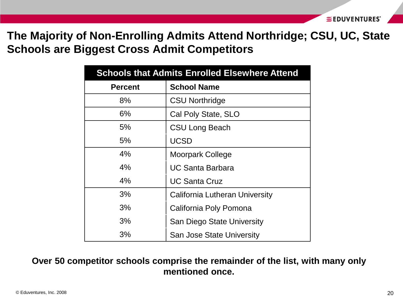### **The Majority of Non-Enrolling Admits Attend Northridge; CSU, UC, State Schools are Biggest Cross Admit Competitors**

| <b>Schools that Admits Enrolled Elsewhere Attend</b> |                                |  |  |
|------------------------------------------------------|--------------------------------|--|--|
| <b>Percent</b>                                       | <b>School Name</b>             |  |  |
| 8%                                                   | <b>CSU Northridge</b>          |  |  |
| 6%                                                   | Cal Poly State, SLO            |  |  |
| 5%                                                   | <b>CSU Long Beach</b>          |  |  |
| 5%                                                   | <b>UCSD</b>                    |  |  |
| 4%                                                   | <b>Moorpark College</b>        |  |  |
| 4%                                                   | <b>UC Santa Barbara</b>        |  |  |
| 4%                                                   | <b>UC Santa Cruz</b>           |  |  |
| 3%                                                   | California Lutheran University |  |  |
| 3%                                                   | California Poly Pomona         |  |  |
| 3%                                                   | San Diego State University     |  |  |
| 3%                                                   | San Jose State University      |  |  |

#### **Over 50 competitor schools comprise the remainder of the list, with many only mentioned once.**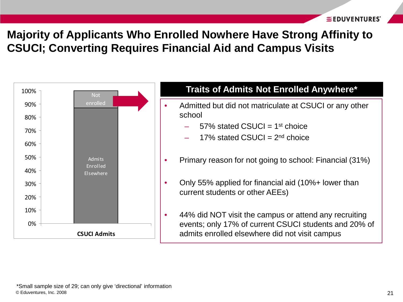# **Majority of Applicants Who Enrolled Nowhere Have Strong Affinity to CSUCI; Converting Requires Financial Aid and Campus Visits**

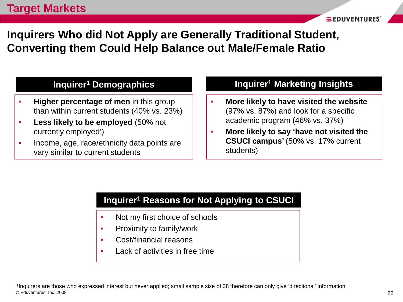**Inquirers Who did Not Apply are Generally Traditional Student, Converting them Could Help Balance out Male/Female Ratio**

#### **Inquirer1 Demographics**

- **Higher percentage of men** in this group than within current students (40% vs. 23%)
- **Less likely to be employed** (50% not currently employed')
- Income, age, race/ethnicity data points are vary similar to current students

#### **Inquirer1 Marketing Insights**

- **More likely to have visited the website**  (97% vs. 87%) and look for a specific academic program (46% vs. 37%)
- **More likely to say 'have not visited the CSUCI campus'** (50% vs. 17% current students)

#### **Inquirer1 Reasons for Not Applying to CSUCI**

- Not my first choice of schools
- Proximity to family/work
- Cost/financial reasons
- Lack of activities in free time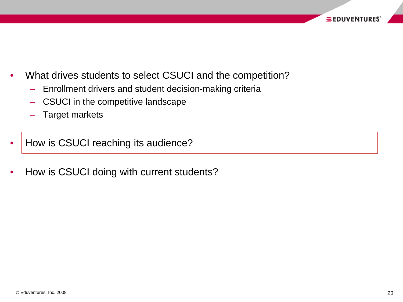- What drives students to select CSUCI and the competition?
	- Enrollment drivers and student decision-making criteria
	- CSUCI in the competitive landscape
	- Target markets
- How is CSUCI reaching its audience?
- How is CSUCI doing with current students?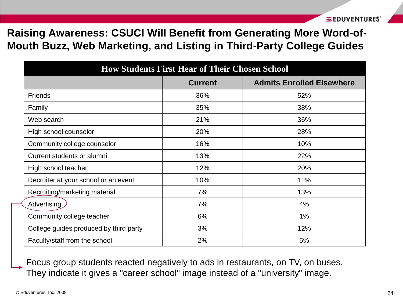**Raising Awareness: CSUCI Will Benefit from Generating More Word-of-Mouth Buzz, Web Marketing, and Listing in Third-Party College Guides**

| <b>How Students First Hear of Their Chosen School</b> |     |     |  |  |  |  |
|-------------------------------------------------------|-----|-----|--|--|--|--|
| <b>Current</b><br><b>Admits Enrolled Elsewhere</b>    |     |     |  |  |  |  |
| <b>Friends</b>                                        | 36% | 52% |  |  |  |  |
| Family                                                | 35% | 38% |  |  |  |  |
| Web search                                            | 21% | 36% |  |  |  |  |
| High school counselor                                 | 20% | 28% |  |  |  |  |
| Community college counselor                           | 16% | 10% |  |  |  |  |
| Current students or alumni                            | 13% | 22% |  |  |  |  |
| High school teacher                                   | 12% | 20% |  |  |  |  |
| Recruiter at your school or an event                  | 10% | 11% |  |  |  |  |
| Recruiting/marketing material                         | 7%  | 13% |  |  |  |  |
| Advertising                                           | 7%  | 4%  |  |  |  |  |
| Community college teacher                             | 6%  | 1%  |  |  |  |  |
| College guides produced by third party                | 3%  | 12% |  |  |  |  |
| Faculty/staff from the school                         | 2%  | 5%  |  |  |  |  |

Focus group students reacted negatively to ads in restaurants, on TV, on buses. They indicate it gives a "career school" image instead of a "university" image.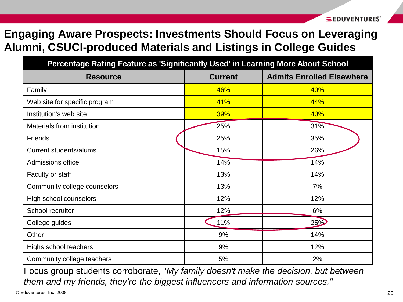# **Engaging Aware Prospects: Investments Should Focus on Leveraging Alumni, CSUCI-produced Materials and Listings in College Guides**

| Percentage Rating Feature as 'Significantly Used' in Learning More About School |                |                                  |  |  |  |
|---------------------------------------------------------------------------------|----------------|----------------------------------|--|--|--|
| <b>Resource</b>                                                                 | <b>Current</b> | <b>Admits Enrolled Elsewhere</b> |  |  |  |
| Family                                                                          | 46%            | 40%                              |  |  |  |
| Web site for specific program                                                   | 41%            | 44%                              |  |  |  |
| Institution's web site                                                          | <b>39%</b>     | 40%                              |  |  |  |
| Materials from institution                                                      | 25%            | 31%                              |  |  |  |
| <b>Friends</b>                                                                  | 25%            | 35%                              |  |  |  |
| <b>Current students/alums</b>                                                   | 15%            | 26%                              |  |  |  |
| Admissions office                                                               | 14%            | 14%                              |  |  |  |
| Faculty or staff                                                                | 13%            | 14%                              |  |  |  |
| Community college counselors                                                    | 13%            | 7%                               |  |  |  |
| High school counselors                                                          | 12%            | 12%                              |  |  |  |
| School recruiter                                                                | 12%            | 6%                               |  |  |  |
| College guides                                                                  | 11%            | 25%                              |  |  |  |
| Other                                                                           | 9%             | 14%                              |  |  |  |
| Highs school teachers                                                           | 9%             | 12%                              |  |  |  |
| Community college teachers                                                      | 5%             | 2%                               |  |  |  |

Focus group students corroborate, "*My family doesn't make the decision, but between them and my friends, they're the biggest influencers and information sources."*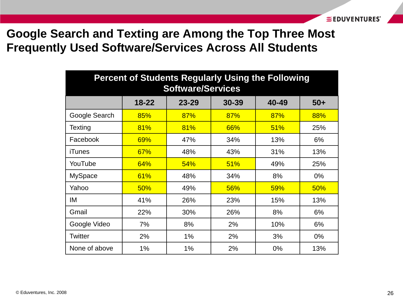# **Google Search and Texting are Among the Top Three Most Frequently Used Software/Services Across All Students**

| <b>Percent of Students Regularly Using the Following</b><br><b>Software/Services</b> |           |           |       |       |       |
|--------------------------------------------------------------------------------------|-----------|-----------|-------|-------|-------|
|                                                                                      | $18 - 22$ | $23 - 29$ | 30-39 | 40-49 | $50+$ |
| Google Search                                                                        | 85%       | 87%       | 87%   | 87%   | 88%   |
| Texting                                                                              | 81%       | 81%       | 66%   | 51%   | 25%   |
| Facebook                                                                             | 69%       | 47%       | 34%   | 13%   | 6%    |
| <b>iTunes</b>                                                                        | 67%       | 48%       | 43%   | 31%   | 13%   |
| YouTube                                                                              | 64%       | 54%       | 51%   | 49%   | 25%   |
| <b>MySpace</b>                                                                       | 61%       | 48%       | 34%   | 8%    | 0%    |
| Yahoo                                                                                | 50%       | 49%       | 56%   | 59%   | 50%   |
| ΙM                                                                                   | 41%       | 26%       | 23%   | 15%   | 13%   |
| Gmail                                                                                | 22%       | 30%       | 26%   | 8%    | 6%    |
| Google Video                                                                         | 7%        | 8%        | 2%    | 10%   | 6%    |
| Twitter                                                                              | 2%        | 1%        | 2%    | 3%    | $0\%$ |
| None of above                                                                        | 1%        | 1%        | 2%    | 0%    | 13%   |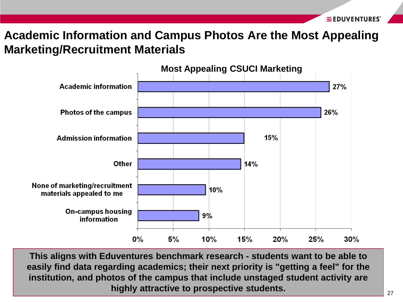### **Academic Information and Campus Photos Are the Most Appealing Marketing/Recruitment Materials**



**highly attractive to prospective students.**  $27$ **This aligns with Eduventures benchmark research - students want to be able to easily find data regarding academics; their next priority is "getting a feel" for the institution, and photos of the campus that include unstaged student activity are**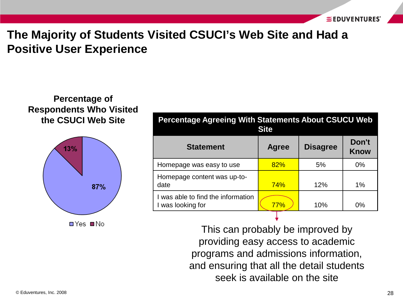# **The Majority of Students Visited CSUCI's Web Site and Had a Positive User Experience**

#### **Percentage of Respondents Who Visited the CSUCI Web Site**



**□Yes ■No** 

| <b>Percentage Agreeing With Statements About CSUCU Web</b><br><b>Site</b> |              |                 |                      |  |
|---------------------------------------------------------------------------|--------------|-----------------|----------------------|--|
| <b>Statement</b>                                                          | <b>Agree</b> | <b>Disagree</b> | Don't<br><b>Know</b> |  |
| Homepage was easy to use                                                  | 82%          | 5%              | $0\%$                |  |
| Homepage content was up-to-<br>date                                       | <b>74%</b>   | 12%             | 1%                   |  |
| I was able to find the information<br>I was looking for                   | 77%          | 10%             | $0\%$                |  |

This can probably be improved by providing easy access to academic programs and admissions information, and ensuring that all the detail students seek is available on the site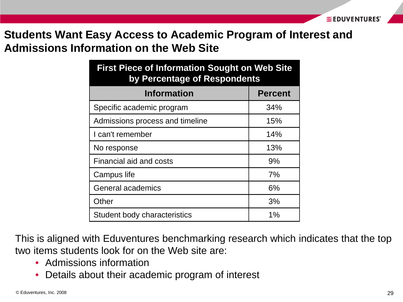### **Students Want Easy Access to Academic Program of Interest and Admissions Information on the Web Site**

| <b>First Piece of Information Sought on Web Site</b><br>by Percentage of Respondents |                |  |  |
|--------------------------------------------------------------------------------------|----------------|--|--|
| <b>Information</b>                                                                   | <b>Percent</b> |  |  |
| Specific academic program                                                            | 34%            |  |  |
| Admissions process and timeline                                                      | 15%            |  |  |
| I can't remember                                                                     | 14%            |  |  |
| No response                                                                          | 13%            |  |  |
| Financial aid and costs                                                              | 9%             |  |  |
| Campus life                                                                          | 7%             |  |  |
| <b>General academics</b>                                                             | 6%             |  |  |
| Other                                                                                | 3%             |  |  |
| Student body characteristics                                                         | $1\%$          |  |  |

This is aligned with Eduventures benchmarking research which indicates that the top two items students look for on the Web site are:

- Admissions information
- Details about their academic program of interest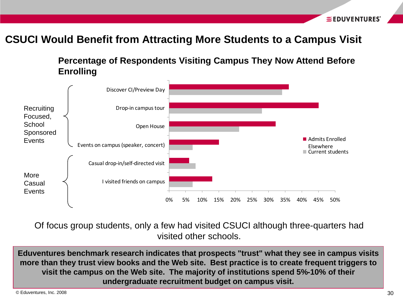#### **CSUCI Would Benefit from Attracting More Students to a Campus Visit**

**Percentage of Respondents Visiting Campus They Now Attend Before Enrolling**



Of focus group students, only a few had visited CSUCI although three-quarters had visited other schools.

**Eduventures benchmark research indicates that prospects "trust" what they see in campus visits more than they trust view books and the Web site. Best practice is to create frequent triggers to visit the campus on the Web site. The majority of institutions spend 5%-10% of their undergraduate recruitment budget on campus visit.**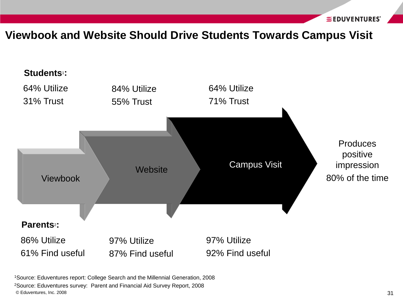#### **Viewbook and Website Should Drive Students Towards Campus Visit**



1Source: Eduventures report: College Search and the Millennial Generation, 2008

© Eduventures, Inc. 2008 31 2Source: Eduventures survey: Parent and Financial Aid Survey Report, 2008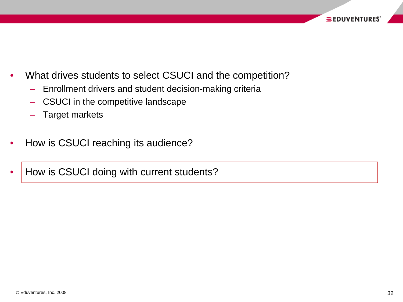- What drives students to select CSUCI and the competition?
	- Enrollment drivers and student decision-making criteria
	- CSUCI in the competitive landscape
	- Target markets
- How is CSUCI reaching its audience?
- How is CSUCI doing with current students?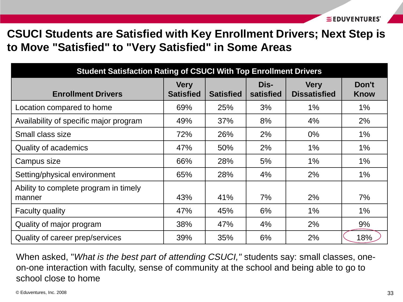**CSUCI Students are Satisfied with Key Enrollment Drivers; Next Step is to Move "Satisfied" to "Very Satisfied" in Some Areas**

| <b>Student Satisfaction Rating of CSUCI With Top Enrollment Drivers</b> |                                 |                  |                   |                                    |                      |
|-------------------------------------------------------------------------|---------------------------------|------------------|-------------------|------------------------------------|----------------------|
| <b>Enrollment Drivers</b>                                               | <b>Very</b><br><b>Satisfied</b> | <b>Satisfied</b> | Dis-<br>satisfied | <b>Very</b><br><b>Dissatisfied</b> | Don't<br><b>Know</b> |
| Location compared to home                                               | 69%                             | 25%              | 3%                | 1%                                 | $1\%$                |
| Availability of specific major program                                  | 49%                             | 37%              | 8%                | 4%                                 | 2%                   |
| Small class size                                                        | 72%                             | 26%              | 2%                | $0\%$                              | $1\%$                |
| <b>Quality of academics</b>                                             | 47%                             | 50%              | 2%                | $1\%$                              | $1\%$                |
| Campus size                                                             | 66%                             | 28%              | 5%                | $1\%$                              | $1\%$                |
| Setting/physical environment                                            | 65%                             | 28%              | 4%                | 2%                                 | $1\%$                |
| Ability to complete program in timely<br>manner                         | 43%                             | 41%              | 7%                | 2%                                 | 7%                   |
| <b>Faculty quality</b>                                                  | 47%                             | 45%              | 6%                | $1\%$                              | $1\%$                |
| Quality of major program                                                | 38%                             | 47%              | 4%                | 2%                                 | 9%                   |
| Quality of career prep/services                                         | 39%                             | 35%              | 6%                | 2%                                 | 18%                  |

When asked, "*What is the best part of attending CSUCI,"* students say: small classes, oneon-one interaction with faculty, sense of community at the school and being able to go to school close to home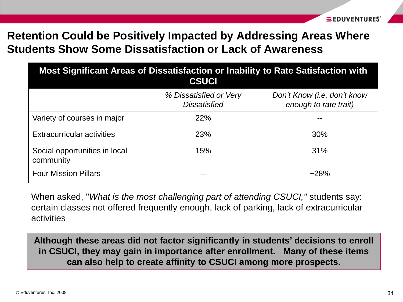# **Retention Could be Positively Impacted by Addressing Areas Where Students Show Some Dissatisfaction or Lack of Awareness**

| Most Significant Areas of Dissatisfaction or Inability to Rate Satisfaction with<br><b>CSUCI</b> |                                               |                                                      |  |  |  |
|--------------------------------------------------------------------------------------------------|-----------------------------------------------|------------------------------------------------------|--|--|--|
|                                                                                                  | % Dissatisfied or Very<br><b>Dissatisfied</b> | Don't Know (i.e. don't know<br>enough to rate trait) |  |  |  |
| Variety of courses in major                                                                      | 22%                                           |                                                      |  |  |  |
| <b>Extracurricular activities</b>                                                                | 23%                                           | 30%                                                  |  |  |  |
| Social opportunities in local<br>community                                                       | 15%                                           | 31%                                                  |  |  |  |
| <b>Four Mission Pillars</b>                                                                      | --                                            | $~28\%$                                              |  |  |  |

When asked, "*What is the most challenging part of attending CSUCI,"* students say: certain classes not offered frequently enough, lack of parking, lack of extracurricular activities

**Although these areas did not factor significantly in students' decisions to enroll in CSUCI, they may gain in importance after enrollment. Many of these items can also help to create affinity to CSUCI among more prospects.**